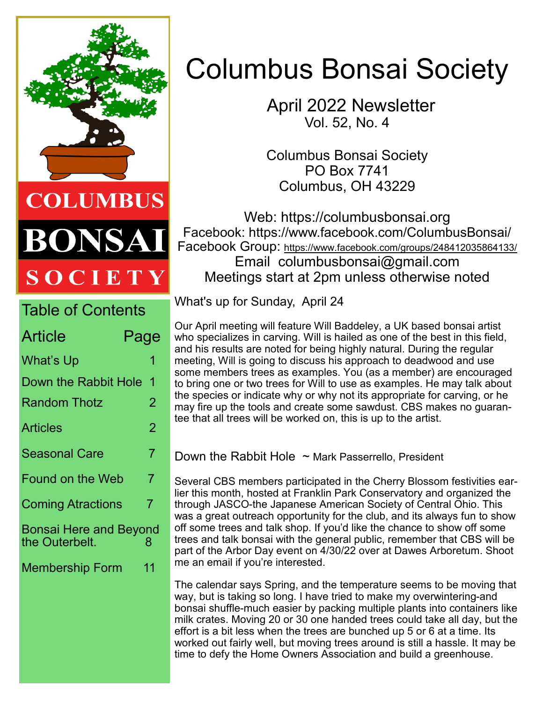

DNSA SOCIETY

| <b>Table of Contents</b>                      |                |  |
|-----------------------------------------------|----------------|--|
| Article                                       | Page           |  |
| What's Up                                     | 1              |  |
| Down the Rabbit Hole                          | 1              |  |
| Random Thotz                                  | 2              |  |
| <b>Articles</b>                               | $\overline{2}$ |  |
| <b>Seasonal Care</b>                          | 7              |  |
| <b>Found on the Web</b>                       | 7              |  |
| <b>Coming Atractions</b>                      | 7              |  |
| Bonsai Here and Beyond<br>the Outerbelt.<br>8 |                |  |
| Membership Form                               | 11             |  |
|                                               |                |  |
|                                               |                |  |

# Columbus Bonsai Society

 April 2022 Newsletter Vol. 52, No. 4

Columbus Bonsai Society PO Box 7741 Columbus, OH 43229

Web: https://columbusbonsai.org Facebook: https://www.facebook.com/ColumbusBonsai/ Facebook Group: <https://www.facebook.com/groups/248412035864133/> Email columbusbonsai@gmail.com Meetings start at 2pm unless otherwise noted

What's up for Sunday, April 24

Our April meeting will feature Will Baddeley, a UK based bonsai artist who specializes in carving. Will is hailed as one of the best in this field, and his results are noted for being highly natural. During the regular meeting, Will is going to discuss his approach to deadwood and use some members trees as examples. You (as a member) are encouraged to bring one or two trees for Will to use as examples. He may talk about the species or indicate why or why not its appropriate for carving, or he may fire up the tools and create some sawdust. CBS makes no guarantee that all trees will be worked on, this is up to the artist.

Down the Rabbit Hole  $\sim$  Mark Passerrello, President

Several CBS members participated in the Cherry Blossom festivities earlier this month, hosted at Franklin Park Conservatory and organized the through JASCO-the Japanese American Society of Central Ohio. This was a great outreach opportunity for the club, and its always fun to show off some trees and talk shop. If you'd like the chance to show off some trees and talk bonsai with the general public, remember that CBS will be part of the Arbor Day event on 4/30/22 over at Dawes Arboretum. Shoot me an email if you're interested.

The calendar says Spring, and the temperature seems to be moving that way, but is taking so long. I have tried to make my overwintering-and bonsai shuffle-much easier by packing multiple plants into containers like milk crates. Moving 20 or 30 one handed trees could take all day, but the effort is a bit less when the trees are bunched up 5 or 6 at a time. Its worked out fairly well, but moving trees around is still a hassle. It may be time to defy the Home Owners Association and build a greenhouse.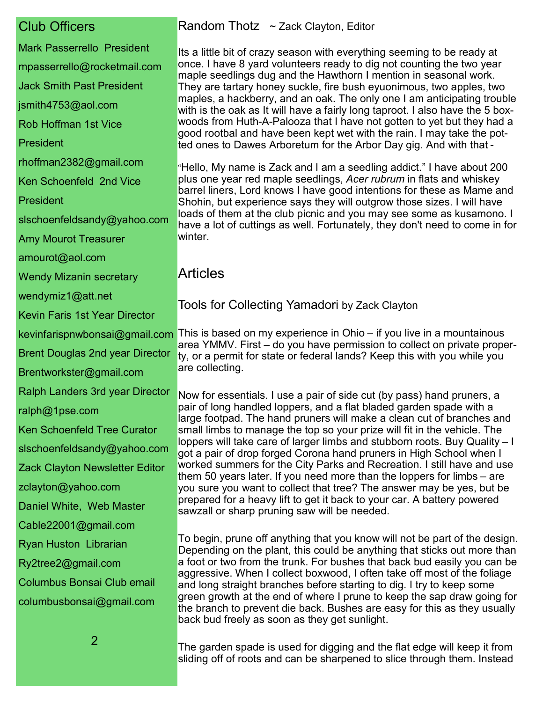# Club Officers

- Mark Passerrello President mpasserrello@rocketmail.com Jack Smith Past President jsmith4753@aol.com Rob Hoffman 1st Vice President rhoffman2382@gmail.com Ken Schoenfeld 2nd Vice President slschoenfeldsandy@yahoo.com Amy Mourot Treasurer amourot@aol.com Wendy Mizanin secretary wendymiz1@att.net Kevin Faris 1st Year Director Brent Douglas 2nd year Director Brentworkster@gmail.com Ralph Landers 3rd year Director ralph@1pse.com Ken Schoenfeld Tree Curator slschoenfeldsandy@yahoo.com Zack Clayton Newsletter Editor zclayton@yahoo.com Daniel White, Web Master Cable22001@gmail.com Ryan Huston Librarian Ry2tree2@gmail.com Columbus Bonsai Club email
- columbusbonsai@gmail.com

#### Random Thotz ~ Zack Clayton, Editor

Its a little bit of crazy season with everything seeming to be ready at once. I have 8 yard volunteers ready to dig not counting the two year maple seedlings dug and the Hawthorn I mention in seasonal work. They are tartary honey suckle, fire bush eyuonimous, two apples, two maples, a hackberry, and an oak. The only one I am anticipating trouble with is the oak as It will have a fairly long taproot. I also have the 5 boxwoods from Huth-A-Palooza that I have not gotten to yet but they had a good rootbal and have been kept wet with the rain. I may take the potted ones to Dawes Arboretum for the Arbor Day gig. And with that -

"Hello, My name is Zack and I am a seedling addict." I have about 200 plus one year red maple seedlings, *Acer rubrum* in flats and whiskey barrel liners, Lord knows I have good intentions for these as Mame and Shohin, but experience says they will outgrow those sizes. I will have loads of them at the club picnic and you may see some as kusamono. I have a lot of cuttings as well. Fortunately, they don't need to come in for winter.

### Articles

Tools for Collecting Yamadori by Zack Clayton

kevinfarispnwbonsai@gmail.com This is based on my experience in Ohio – if you live in a mountainous area YMMV. First – do you have permission to collect on private property, or a permit for state or federal lands? Keep this with you while you are collecting.

> Now for essentials. I use a pair of side cut (by pass) hand pruners, a pair of long handled loppers, and a flat bladed garden spade with a large footpad. The hand pruners will make a clean cut of branches and small limbs to manage the top so your prize will fit in the vehicle. The loppers will take care of larger limbs and stubborn roots. Buy Quality – I got a pair of drop forged Corona hand pruners in High School when I worked summers for the City Parks and Recreation. I still have and use them 50 years later. If you need more than the loppers for limbs – are you sure you want to collect that tree? The answer may be yes, but be prepared for a heavy lift to get it back to your car. A battery powered sawzall or sharp pruning saw will be needed.

To begin, prune off anything that you know will not be part of the design. Depending on the plant, this could be anything that sticks out more than a foot or two from the trunk. For bushes that back bud easily you can be aggressive. When I collect boxwood, I often take off most of the foliage and long straight branches before starting to dig. I try to keep some green growth at the end of where I prune to keep the sap draw going for the branch to prevent die back. Bushes are easy for this as they usually back bud freely as soon as they get sunlight.

The garden spade is used for digging and the flat edge will keep it from sliding off of roots and can be sharpened to slice through them. Instead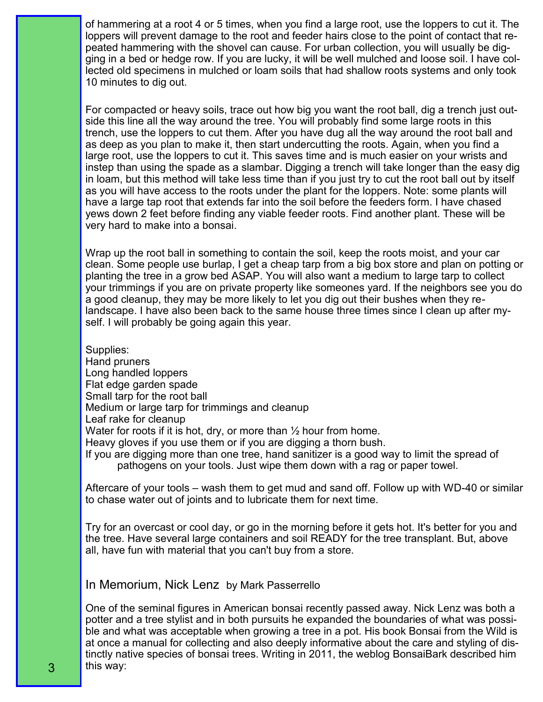of hammering at a root 4 or 5 times, when you find a large root, use the loppers to cut it. The loppers will prevent damage to the root and feeder hairs close to the point of contact that repeated hammering with the shovel can cause. For urban collection, you will usually be digging in a bed or hedge row. If you are lucky, it will be well mulched and loose soil. I have collected old specimens in mulched or loam soils that had shallow roots systems and only took 10 minutes to dig out.

For compacted or heavy soils, trace out how big you want the root ball, dig a trench just outside this line all the way around the tree. You will probably find some large roots in this trench, use the loppers to cut them. After you have dug all the way around the root ball and as deep as you plan to make it, then start undercutting the roots. Again, when you find a large root, use the loppers to cut it. This saves time and is much easier on your wrists and instep than using the spade as a slambar. Digging a trench will take longer than the easy dig in loam, but this method will take less time than if you just try to cut the root ball out by itself as you will have access to the roots under the plant for the loppers. Note: some plants will have a large tap root that extends far into the soil before the feeders form. I have chased yews down 2 feet before finding any viable feeder roots. Find another plant. These will be very hard to make into a bonsai.

Wrap up the root ball in something to contain the soil, keep the roots moist, and your car clean. Some people use burlap, I get a cheap tarp from a big box store and plan on potting or planting the tree in a grow bed ASAP. You will also want a medium to large tarp to collect your trimmings if you are on private property like someones yard. If the neighbors see you do a good cleanup, they may be more likely to let you dig out their bushes when they relandscape. I have also been back to the same house three times since I clean up after myself. I will probably be going again this year.

Supplies: Hand pruners Long handled loppers Flat edge garden spade Small tarp for the root ball Medium or large tarp for trimmings and cleanup Leaf rake for cleanup Water for roots if it is hot, dry, or more than  $\frac{1}{2}$  hour from home. Heavy gloves if you use them or if you are digging a thorn bush. If you are digging more than one tree, hand sanitizer is a good way to limit the spread of pathogens on your tools. Just wipe them down with a rag or paper towel.

Aftercare of your tools – wash them to get mud and sand off. Follow up with WD-40 or similar to chase water out of joints and to lubricate them for next time.

Try for an overcast or cool day, or go in the morning before it gets hot. It's better for you and the tree. Have several large containers and soil READY for the tree transplant. But, above all, have fun with material that you can't buy from a store.

In Memorium, Nick Lenz by Mark Passerrello

One of the seminal figures in American bonsai recently passed away. Nick Lenz was both a potter and a tree stylist and in both pursuits he expanded the boundaries of what was possible and what was acceptable when growing a tree in a pot. His book Bonsai from the Wild is at once a manual for collecting and also deeply informative about the care and styling of distinctly native species of bonsai trees. Writing in 2011, the weblog BonsaiBark described him this way: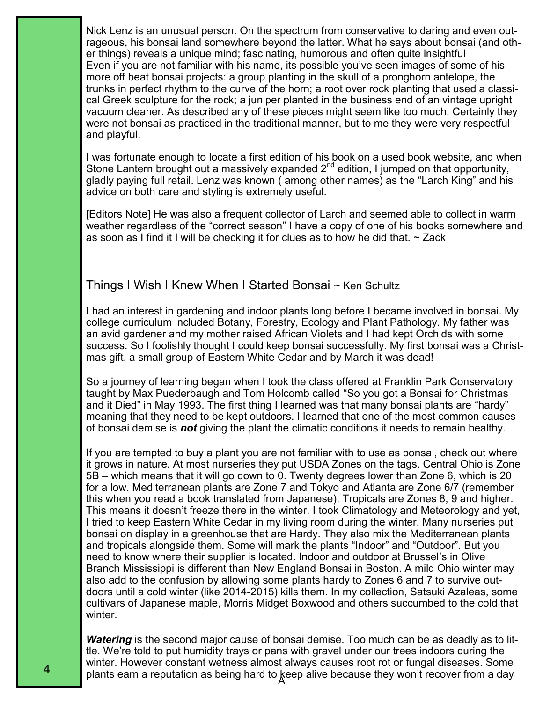Nick Lenz is an unusual person. On the spectrum from conservative to daring and even outrageous, his bonsai land somewhere beyond the latter. What he says about bonsai (and other things) reveals a unique mind; fascinating, humorous and often quite insightful Even if you are not familiar with his name, its possible you've seen images of some of his more off beat bonsai projects: a group planting in the skull of a pronghorn antelope, the trunks in perfect rhythm to the curve of the horn; a root over rock planting that used a classical Greek sculpture for the rock; a juniper planted in the business end of an vintage upright vacuum cleaner. As described any of these pieces might seem like too much. Certainly they were not bonsai as practiced in the traditional manner, but to me they were very respectful and playful.

I was fortunate enough to locate a first edition of his book on a used book website, and when Stone Lantern brought out a massively expanded 2<sup>nd</sup> edition, I jumped on that opportunity, gladly paying full retail. Lenz was known ( among other names) as the "Larch King" and his advice on both care and styling is extremely useful.

[Editors Note] He was also a frequent collector of Larch and seemed able to collect in warm weather regardless of the "correct season" I have a copy of one of his books somewhere and as soon as I find it I will be checking it for clues as to how he did that.  $\sim$  Zack

#### Things I Wish I Knew When I Started Bonsai ~ Ken Schultz

I had an interest in gardening and indoor plants long before I became involved in bonsai. My college curriculum included Botany, Forestry, Ecology and Plant Pathology. My father was an avid gardener and my mother raised African Violets and I had kept Orchids with some success. So I foolishly thought I could keep bonsai successfully. My first bonsai was a Christmas gift, a small group of Eastern White Cedar and by March it was dead!

So a journey of learning began when I took the class offered at Franklin Park Conservatory taught by Max Puederbaugh and Tom Holcomb called "So you got a Bonsai for Christmas and it Died" in May 1993. The first thing I learned was that many bonsai plants are "hardy" meaning that they need to be kept outdoors. I learned that one of the most common causes of bonsai demise is *not* giving the plant the climatic conditions it needs to remain healthy.

If you are tempted to buy a plant you are not familiar with to use as bonsai, check out where it grows in nature. At most nurseries they put USDA Zones on the tags. Central Ohio is Zone 5B – which means that it will go down to 0. Twenty degrees lower than Zone 6, which is 20 for a low. Mediterranean plants are Zone 7 and Tokyo and Atlanta are Zone 6/7 (remember this when you read a book translated from Japanese). Tropicals are Zones 8, 9 and higher. This means it doesn't freeze there in the winter. I took Climatology and Meteorology and yet, I tried to keep Eastern White Cedar in my living room during the winter. Many nurseries put bonsai on display in a greenhouse that are Hardy. They also mix the Mediterranean plants and tropicals alongside them. Some will mark the plants "Indoor" and "Outdoor". But you need to know where their supplier is located. Indoor and outdoor at Brussel's in Olive Branch Mississippi is different than New England Bonsai in Boston. A mild Ohio winter may also add to the confusion by allowing some plants hardy to Zones 6 and 7 to survive outdoors until a cold winter (like 2014-2015) kills them. In my collection, Satsuki Azaleas, some cultivars of Japanese maple, Morris Midget Boxwood and others succumbed to the cold that winter.

plants earn a reputation as being hard to  $\cancel{{\rm Re}}$ ep alive because they won't recover from a day *Watering* is the second major cause of bonsai demise. Too much can be as deadly as to little. We're told to put humidity trays or pans with gravel under our trees indoors during the winter. However constant wetness almost always causes root rot or fungal diseases. Some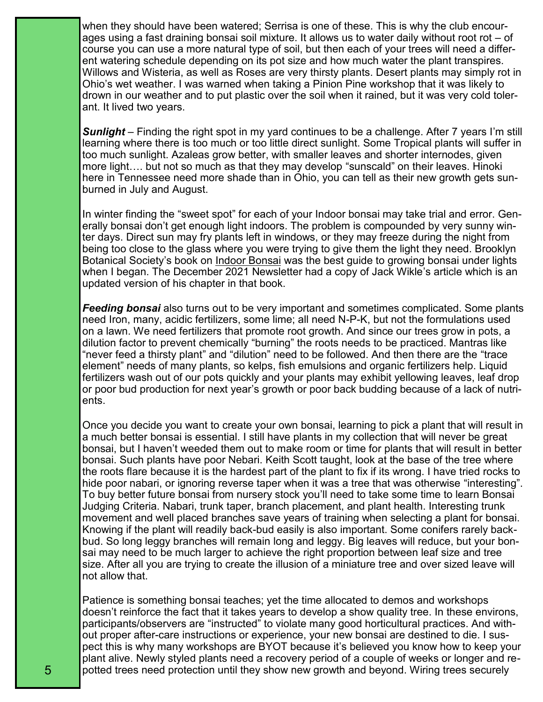when they should have been watered; Serrisa is one of these. This is why the club encourages using a fast draining bonsai soil mixture. It allows us to water daily without root rot – of course you can use a more natural type of soil, but then each of your trees will need a different watering schedule depending on its pot size and how much water the plant transpires. Willows and Wisteria, as well as Roses are very thirsty plants. Desert plants may simply rot in Ohio's wet weather. I was warned when taking a Pinion Pine workshop that it was likely to drown in our weather and to put plastic over the soil when it rained, but it was very cold tolerant. It lived two years.

*Sunlight* – Finding the right spot in my yard continues to be a challenge. After 7 years I'm still learning where there is too much or too little direct sunlight. Some Tropical plants will suffer in too much sunlight. Azaleas grow better, with smaller leaves and shorter internodes, given more light…. but not so much as that they may develop "sunscald" on their leaves. Hinoki here in Tennessee need more shade than in Ohio, you can tell as their new growth gets sunburned in July and August.

In winter finding the "sweet spot" for each of your Indoor bonsai may take trial and error. Generally bonsai don't get enough light indoors. The problem is compounded by very sunny winter days. Direct sun may fry plants left in windows, or they may freeze during the night from being too close to the glass where you were trying to give them the light they need. Brooklyn Botanical Society's book on Indoor Bonsai was the best guide to growing bonsai under lights when I began. The December 2021 Newsletter had a copy of Jack Wikle's article which is an updated version of his chapter in that book.

*Feeding bonsai* also turns out to be very important and sometimes complicated. Some plants need Iron, many, acidic fertilizers, some lime; all need N-P-K, but not the formulations used on a lawn. We need fertilizers that promote root growth. And since our trees grow in pots, a dilution factor to prevent chemically "burning" the roots needs to be practiced. Mantras like "never feed a thirsty plant" and "dilution" need to be followed. And then there are the "trace element" needs of many plants, so kelps, fish emulsions and organic fertilizers help. Liquid fertilizers wash out of our pots quickly and your plants may exhibit yellowing leaves, leaf drop or poor bud production for next year's growth or poor back budding because of a lack of nutrients.

Once you decide you want to create your own bonsai, learning to pick a plant that will result in a much better bonsai is essential. I still have plants in my collection that will never be great bonsai, but I haven't weeded them out to make room or time for plants that will result in better bonsai. Such plants have poor Nebari. Keith Scott taught, look at the base of the tree where the roots flare because it is the hardest part of the plant to fix if its wrong. I have tried rocks to hide poor nabari, or ignoring reverse taper when it was a tree that was otherwise "interesting". To buy better future bonsai from nursery stock you'll need to take some time to learn Bonsai Judging Criteria. Nabari, trunk taper, branch placement, and plant health. Interesting trunk movement and well placed branches save years of training when selecting a plant for bonsai. Knowing if the plant will readily back-bud easily is also important. Some conifers rarely backbud. So long leggy branches will remain long and leggy. Big leaves will reduce, but your bonsai may need to be much larger to achieve the right proportion between leaf size and tree size. After all you are trying to create the illusion of a miniature tree and over sized leave will not allow that.

Patience is something bonsai teaches; yet the time allocated to demos and workshops doesn't reinforce the fact that it takes years to develop a show quality tree. In these environs, participants/observers are "instructed" to violate many good horticultural practices. And without proper after-care instructions or experience, your new bonsai are destined to die. I suspect this is why many workshops are BYOT because it's believed you know how to keep your plant alive. Newly styled plants need a recovery period of a couple of weeks or longer and repotted trees need protection until they show new growth and beyond. Wiring trees securely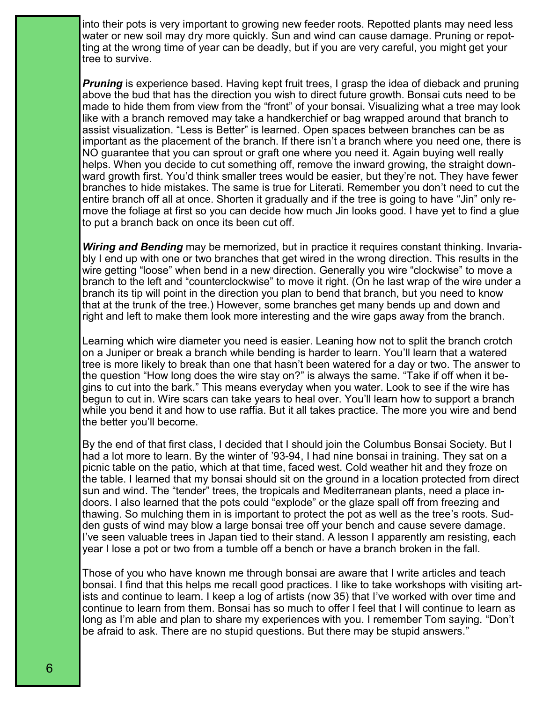into their pots is very important to growing new feeder roots. Repotted plants may need less water or new soil may dry more quickly. Sun and wind can cause damage. Pruning or repotting at the wrong time of year can be deadly, but if you are very careful, you might get your tree to survive.

*Pruning* is experience based. Having kept fruit trees, I grasp the idea of dieback and pruning above the bud that has the direction you wish to direct future growth. Bonsai cuts need to be made to hide them from view from the "front" of your bonsai. Visualizing what a tree may look like with a branch removed may take a handkerchief or bag wrapped around that branch to assist visualization. "Less is Better" is learned. Open spaces between branches can be as important as the placement of the branch. If there isn't a branch where you need one, there is NO guarantee that you can sprout or graft one where you need it. Again buying well really helps. When you decide to cut something off, remove the inward growing, the straight downward growth first. You'd think smaller trees would be easier, but they're not. They have fewer branches to hide mistakes. The same is true for Literati. Remember you don't need to cut the entire branch off all at once. Shorten it gradually and if the tree is going to have "Jin" only remove the foliage at first so you can decide how much Jin looks good. I have yet to find a glue to put a branch back on once its been cut off.

*Wiring and Bending* may be memorized, but in practice it requires constant thinking. Invariably I end up with one or two branches that get wired in the wrong direction. This results in the wire getting "loose" when bend in a new direction. Generally you wire "clockwise" to move a branch to the left and "counterclockwise" to move it right. (On he last wrap of the wire under a branch its tip will point in the direction you plan to bend that branch, but you need to know that at the trunk of the tree.) However, some branches get many bends up and down and right and left to make them look more interesting and the wire gaps away from the branch.

Learning which wire diameter you need is easier. Leaning how not to split the branch crotch on a Juniper or break a branch while bending is harder to learn. You'll learn that a watered tree is more likely to break than one that hasn't been watered for a day or two. The answer to the question "How long does the wire stay on?" is always the same. "Take if off when it begins to cut into the bark." This means everyday when you water. Look to see if the wire has begun to cut in. Wire scars can take years to heal over. You'll learn how to support a branch while you bend it and how to use raffia. But it all takes practice. The more you wire and bend the better you'll become.

By the end of that first class, I decided that I should join the Columbus Bonsai Society. But I had a lot more to learn. By the winter of '93-94, I had nine bonsai in training. They sat on a picnic table on the patio, which at that time, faced west. Cold weather hit and they froze on the table. I learned that my bonsai should sit on the ground in a location protected from direct sun and wind. The "tender" trees, the tropicals and Mediterranean plants, need a place indoors. I also learned that the pots could "explode" or the glaze spall off from freezing and thawing. So mulching them in is important to protect the pot as well as the tree's roots. Sudden gusts of wind may blow a large bonsai tree off your bench and cause severe damage. I've seen valuable trees in Japan tied to their stand. A lesson I apparently am resisting, each year I lose a pot or two from a tumble off a bench or have a branch broken in the fall.

Those of you who have known me through bonsai are aware that I write articles and teach bonsai. I find that this helps me recall good practices. I like to take workshops with visiting artists and continue to learn. I keep a log of artists (now 35) that I've worked with over time and continue to learn from them. Bonsai has so much to offer I feel that I will continue to learn as long as I'm able and plan to share my experiences with you. I remember Tom saying. "Don't be afraid to ask. There are no stupid questions. But there may be stupid answers."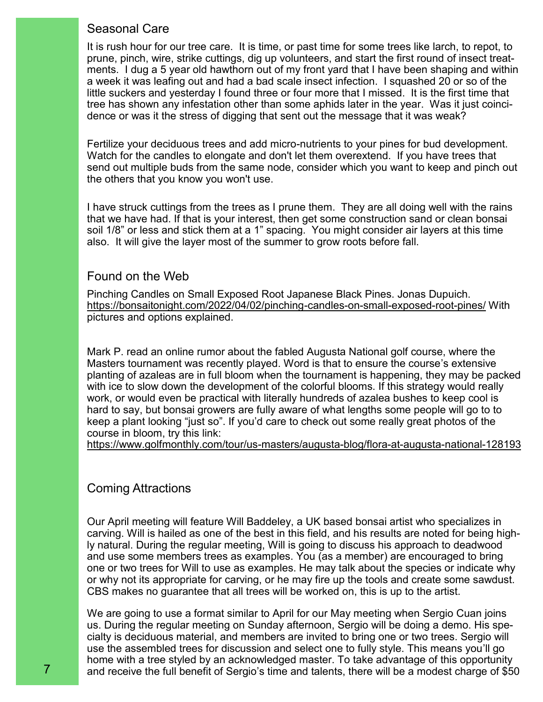## Seasonal Care

It is rush hour for our tree care. It is time, or past time for some trees like larch, to repot, to prune, pinch, wire, strike cuttings, dig up volunteers, and start the first round of insect treatments. I dug a 5 year old hawthorn out of my front yard that I have been shaping and within a week it was leafing out and had a bad scale insect infection. I squashed 20 or so of the little suckers and yesterday I found three or four more that I missed. It is the first time that tree has shown any infestation other than some aphids later in the year. Was it just coincidence or was it the stress of digging that sent out the message that it was weak?

Fertilize your deciduous trees and add micro-nutrients to your pines for bud development. Watch for the candles to elongate and don't let them overextend. If you have trees that send out multiple buds from the same node, consider which you want to keep and pinch out the others that you know you won't use.

I have struck cuttings from the trees as I prune them. They are all doing well with the rains that we have had. If that is your interest, then get some construction sand or clean bonsai soil 1/8" or less and stick them at a 1" spacing. You might consider air layers at this time also. It will give the layer most of the summer to grow roots before fall.

#### Found on the Web

Pinching Candles on Small Exposed Root Japanese Black Pines. Jonas Dupuich. [ht](https://bonsaitonight.com/2022/04/02/pinching-candles-on-small-exposed-root-pines/)tps://bonsaitonight.com/2022/04/02/pinching-candles-on-small-exposed-root-pines/ With pictures and options explained.

Mark P. read an online rumor about the fabled Augusta National golf course, where the Masters tournament was recently played. Word is that to ensure the course's extensive planting of azaleas are in full bloom when the tournament is happening, they may be packed with ice to slow down the development of the colorful blooms. If this strategy would really work, or would even be practical with literally hundreds of azalea bushes to keep cool is hard to say, but bonsai growers are fully aware of what lengths some people will go to to keep a plant looking "just so". If you'd care to check out some really great photos of the course in bloom, try this link:

[https://www.golfmonthly.com/tour/us](https://www.golfmonthly.com/tour/us-masters/augusta-blog/flora-at-augusta-national-128193)-masters/augusta-blog/flora-at-augusta-national-128193

### Coming Attractions

Our April meeting will feature Will Baddeley, a UK based bonsai artist who specializes in carving. Will is hailed as one of the best in this field, and his results are noted for being highly natural. During the regular meeting, Will is going to discuss his approach to deadwood and use some members trees as examples. You (as a member) are encouraged to bring one or two trees for Will to use as examples. He may talk about the species or indicate why or why not its appropriate for carving, or he may fire up the tools and create some sawdust. CBS makes no guarantee that all trees will be worked on, this is up to the artist.

We are going to use a format similar to April for our May meeting when Sergio Cuan joins us. During the regular meeting on Sunday afternoon, Sergio will be doing a demo. His specialty is deciduous material, and members are invited to bring one or two trees. Sergio will use the assembled trees for discussion and select one to fully style. This means you'll go home with a tree styled by an acknowledged master. To take advantage of this opportunity and receive the full benefit of Sergio's time and talents, there will be a modest charge of \$50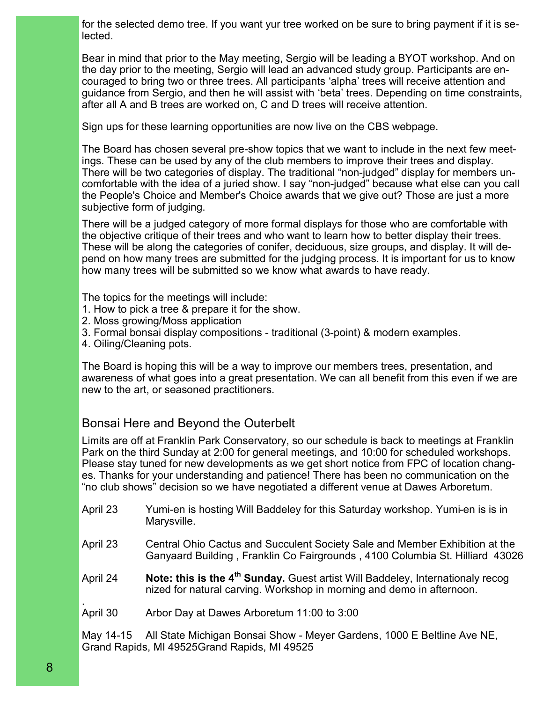for the selected demo tree. If you want yur tree worked on be sure to bring payment if it is selected.

Bear in mind that prior to the May meeting, Sergio will be leading a BYOT workshop. And on the day prior to the meeting, Sergio will lead an advanced study group. Participants are encouraged to bring two or three trees. All participants 'alpha' trees will receive attention and guidance from Sergio, and then he will assist with 'beta' trees. Depending on time constraints, after all A and B trees are worked on, C and D trees will receive attention.

Sign ups for these learning opportunities are now live on the CBS webpage.

The Board has chosen several pre-show topics that we want to include in the next few meetings. These can be used by any of the club members to improve their trees and display. There will be two categories of display. The traditional "non-judged" display for members uncomfortable with the idea of a juried show. I say "non-judged" because what else can you call the People's Choice and Member's Choice awards that we give out? Those are just a more subjective form of judging.

There will be a judged category of more formal displays for those who are comfortable with the objective critique of their trees and who want to learn how to better display their trees. These will be along the categories of conifer, deciduous, size groups, and display. It will depend on how many trees are submitted for the judging process. It is important for us to know how many trees will be submitted so we know what awards to have ready.

The topics for the meetings will include:

- 1. How to pick a tree & prepare it for the show.
- 2. Moss growing/Moss application
- 3. Formal bonsai display compositions traditional (3-point) & modern examples.
- 4. Oiling/Cleaning pots.

The Board is hoping this will be a way to improve our members trees, presentation, and awareness of what goes into a great presentation. We can all benefit from this even if we are new to the art, or seasoned practitioners.

### Bonsai Here and Beyond the Outerbelt

Limits are off at Franklin Park Conservatory, so our schedule is back to meetings at Franklin Park on the third Sunday at 2:00 for general meetings, and 10:00 for scheduled workshops. Please stay tuned for new developments as we get short notice from FPC of location changes. Thanks for your understanding and patience! There has been no communication on the "no club shows" decision so we have negotiated a different venue at Dawes Arboretum.

- April 23 Yumi-en is hosting Will Baddeley for this Saturday workshop. Yumi-en is is in Marysville.
- April 23 Central Ohio Cactus and Succulent Society Sale and Member Exhibition at the Ganyaard Building , Franklin Co Fairgrounds , 4100 Columbia St. Hilliard 43026
- April 24 **Note: this is the 4th Sunday.** Guest artist Will Baddeley, Internationaly recog nized for natural carving. Workshop in morning and demo in afternoon.
- . April 30 Arbor Day at Dawes Arboretum 11:00 to 3:00

May 14-15 All State Michigan Bonsai Show - Meyer Gardens, 1000 E Beltline Ave NE, Grand Rapids, MI 49525Grand Rapids, MI 49525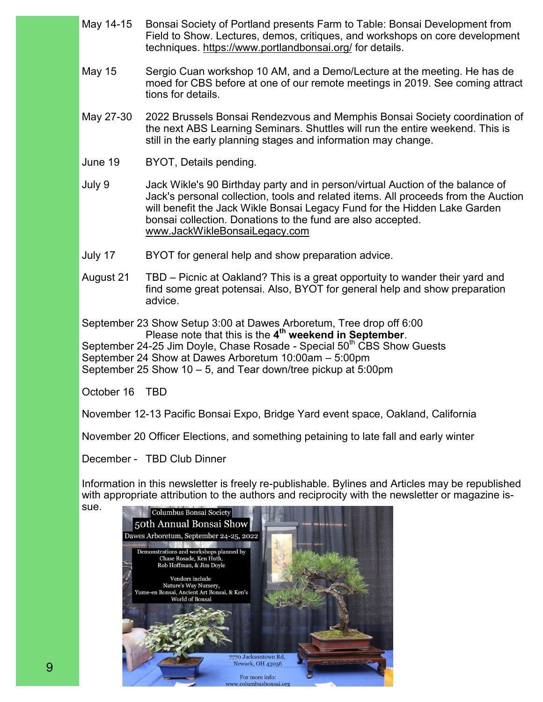- May 14-15 Bonsai Society of Portland presents Farm to Table: Bonsai Development from Field to Show. Lectures, demos, critiques, and workshops on core development techniques. [ht](https://www.portlandbonsai.org/)tps://www.portlandbonsai.org/ for details.
- May 15 Sergio Cuan workshop 10 AM, and a Demo/Lecture at the meeting. He has de moed for CBS before at one of our remote meetings in 2019. See coming attract tions for details.
- May 27-30 2022 Brussels Bonsai Rendezvous and Memphis Bonsai Society coordination of the next ABS Learning Seminars. Shuttles will run the entire weekend. This is still in the early planning stages and information may change.
- June 19 BYOT, Details pending.
- July 9 Jack Wikle's 90 Birthday party and in person/virtual Auction of the balance of Jack's personal collection, tools and related items. All proceeds from the Auction will benefit the Jack Wikle Bonsai Legacy Fund for the Hidden Lake Garden bonsai collection. Donations to the fund are also accepted. w[ww.JackWikleBonsaiLegacy.com](http://Www.JackWikleBonsaiLegacy.com/)
- July 17 BYOT for general help and show preparation advice.
- August 21 TBD Picnic at Oakland? This is a great opportuity to wander their yard and find some great potensai. Also, BYOT for general help and show preparation advice.

September 23 Show Setup 3:00 at Dawes Arboretum, Tree drop off 6:00 Please note that this is the **4 th weekend in September**. September 24-25 Jim Doyle, Chase Rosade - Special 50<sup>th</sup> CBS Show Guests September 24 Show at Dawes Arboretum 10:00am – 5:00pm September 25 Show 10 – 5, and Tear down/tree pickup at 5:00pm

October 16 TBD

November 12-13 Pacific Bonsai Expo, Bridge Yard event space, Oakland, California

November 20 Officer Elections, and something petaining to late fall and early winter

December - TBD Club Dinner

Information in this newsletter is freely re-publishable. Bylines and Articles may be republished with appropriate attribution to the authors and reciprocity with the newsletter or magazine issue.

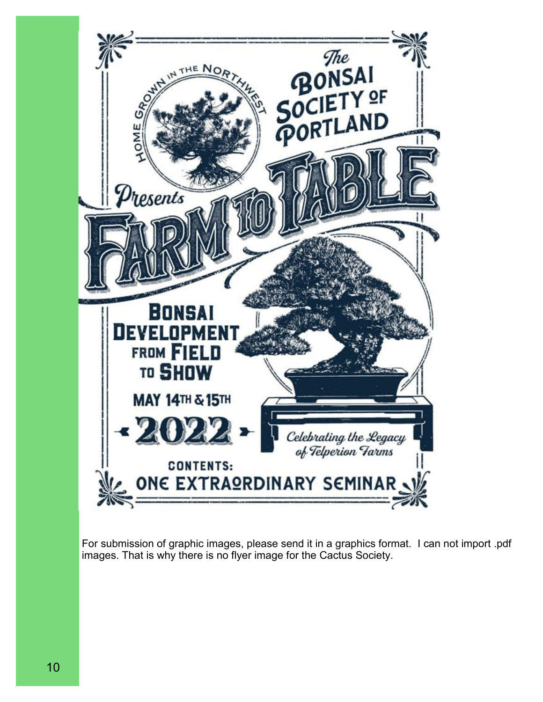

For submission of graphic images, please send it in a graphics format. I can not import .pdf images. That is why there is no flyer image for the Cactus Society.